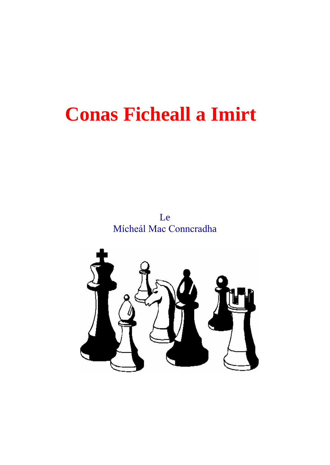Le Mícheál Mac Conncradha

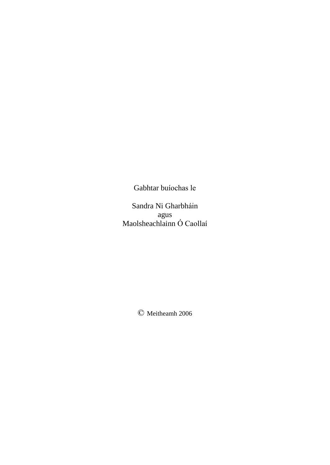Gabhtar buíochas le

Sandra Ni Gharbháin agus Sandra Ni Gharbháin<br>agus<br>Maolsheachlainn Ó Caollaí

 $\oslash$  Meitheamh 2006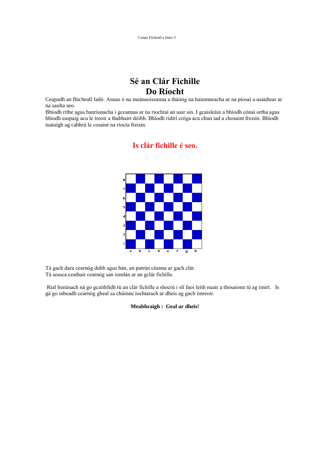## **<sup>S</sup><sup>È</sup> an Cl·r Fichille Do <sup>R</sup>Ìocht**

**Ceapadh an fhicheall fadó.** Anuas ó na meánaoiseanna a tháinig na hainmneacha ar na píosaí a usáidtear ar na saolta seo. Ceapadh an fhicheall fadó. Anuas ó na meánaoiseanna a tháinig na hainmneacha ar na píosaí a usáidtear ar<br>na saolta seo.<br>Bhíodh ríthe agus banríonacha i gceannas ar na ríochtaí an uair sin. I gcaisleáin a bhíodh cónaí ortha

na saolta seo.<br>Bhíodh ríthe agus banríonacha i gceannas ar na ríochtaí an uair sin. I gcaisleáin a bhíodh cónaí ortha agus<br>bhíodh easpaig acu le treoir a thabhairt dóibh. Bhíodh ridirí cróga acu chun iad a chosaint freisin bhíodh easpaig acu le treoir a thabhairt dóibh. Bhíodh ridirí cróga acu chun iad a chosaint freisin. Bhíodh tuataigh ag cabhrú le cosaint na ríocta freisin.

#### **Is cl·r fichille <sup>È</sup> seo.**



Tá gach dara cearnóg dubh agus bán, an patrún céanna ar gach clár.<br>Tá gach dara cearnóg dubh agus bán, an patrún céanna ar gach clár. Tá gach dara cearnóg dubh agus bán, an patrún céanna ar gach<br>Tá seasca ceathair cearnóg san iomlán ar an gclár fichille.

Fá seasca ceathair cearnóg san iomlán ar an gclár fichille.<br>Rial bunúsach ná go gcaithfidh tú an clár fichille a shocrú i slí faoi leith nuair a thosaíonn tú ag imirt. Is Rial bunúsach ná go gcaithfidh tú an clár fichille a shocrú i slí faoi leith nuair a t<br>gá go mbeadh cearnóg gheal sa chúinne íochtarach ar dheis ag gach imreoir.

#### **Meabhraigh : Geal ar dheis!**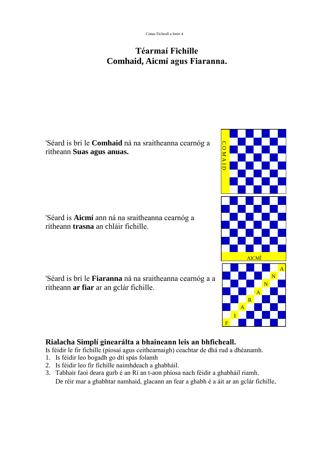### **<sup>T</sup>ÈarmaÌ Fichille Comhaid, Aicm<sup>Ì</sup> agus Fiaranna.**

'Séard is brí le **Comhaid** ná na sraitheanna cearnóg a<br>ritheann **Suas agus anuas.** ritheann **Suas agus anuas.**

'Séard is **Aicmí** ann ná na sraitheanna cearnóg a 'Séard is **Aicmí** ann ná na sraitheanna<br>ritheann **trasna** an chláir fichille.

'SÈard is brÌ le **Fiaranna** <sup>n</sup>· na sraitheanna cearnÛg <sup>a</sup> <sup>a</sup> 'Séard is brí le **Fiaranna** ná na sraithear<br>ritheann **ar fiar** ar an gclár fichille.

# **Rialacha Simpl<sup>Ì</sup> ginear·lta <sup>a</sup> bhaineann leis an bhficheall.**

**Rialacha Simplí ginearálta a bhaineann leis an bhficheall.**<br>Is féidir le fir fichille (píosaí agus ceithearnaigh) ceachtar de dhá rud a dhéanamh. **Rialacha Simplí ginearálta a bhaineann le**<br>Is féidir le fir fichille (píosaí agus ceithearnaigh) ce<br>1. Is féidir leo bogadh go dtí spás folamh 1 Is féidir le fir fichille (píosaí agus ceithearnaigh) ceach<br>1. Is féidir leo bogadh go dtí spás folamh<br>2. Is féidir leo fir fichille naimhdeach a ghabháil.

- 
- 
- 3. Is féidir leo bogadh go dtí spás folamh<br>
3. Is féidir leo fir fichille naimhdeach a ghabháil.<br>
3. Tabhair faoi deara gurb é an Rí an t-aon phíosa nach féidir a ghabháil riamh. De réir mar a ghabhtar namhaid, glacann an fear a ghabh é a áit ar an gclár fichille.

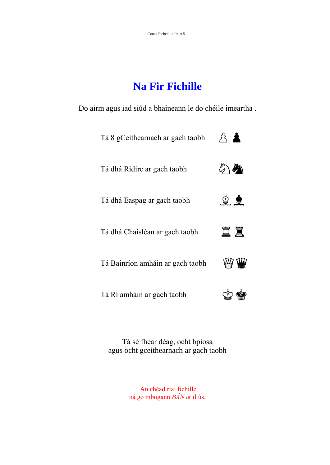### **Na Fir Fichille**

Do airm agus iad siúd a bhaineann le do chéile imeartha.

| Tá 8 gCeithearnach ar gach taobh | 八人           |
|----------------------------------|--------------|
| Tá dhá Ridire ar gach taobh      | ▲            |
| Tá dhá Easpag ar gach taobh      | 皇皇           |
| Tá dhá Chaisléan ar gach taobh   | 罝罝           |
| Tá Bainríon amháin ar gach taobh | W∖ <b>/Ш</b> |
| Tá Rí amháin ar gach taobh       |              |

Tá sé fhear déag, ocht bpíosa agus ocht gceithearnach ar gach taobh

> An chéad rial fichille ná go mbogann *BÁN* ar dtús.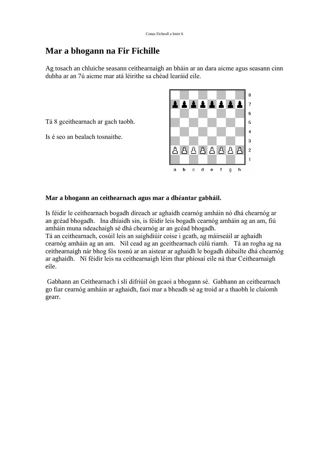#### **Mar a bhogann na Fir Fichille**

**Mar a bhogann na Fir Fichille**<br>Ag tosach an chluiche seasann ceithearnaigh an bháin ar an dara aicme agus seasann cinn Ag tosach an chluiche seasann ceithearnaigh an bháin ar an dar<br>dubha ar an 7ú aicme mar atá léirithe sa chéad learáid eile.

Tá 8 gceithearnach ar gach taobh. Tá 8 gceithearnach ar gach taobh.<br>Is é seo an bealach tosnaithe.



#### **Mar <sup>a</sup> bhogann an ceithearnach agus mar <sup>a</sup> dhÈantar gabh·il.**

M<mark>ar a bhogann an ceithearnach agus mar a dhéantar gabháil.</mark><br>Is féidir le ceithearnach bogadh díreach ar aghaidh cearnóg amháin nó dhá chearnóg ar Is féidir le ceithearnach bogadh díreach ar aghaidh cearnóg amháin nó dhá chearnóg ar<br>an gcéad bhogadh. Ina dhíaidh sin, is féidir leis bogadh cearnóg amháin ag an am, fiú Is féidir le ceithearnach bogadh díreach ar aghaidh cearnóg amháin n<br>an gcéad bhogadh. Ina dhíaidh sin, is féidir leis bogadh cearnóg am<br>amháin muna ndeachaigh sé dhá chearnóg ar an gcéad bhogadh. an gcéad bhogadh. Ina dhíaidh sin, is féidir leis bogadh cearnóg amháin ag an am, fiú amháin muna ndeachaigh sé dhá chearnóg ar an gcéad bhogadh.<br>Tá an ceithearnach, cosúil leis an saighdiúir coise i gcath, ag máirseáil ar

cearnóg amháin ag an am. Níl cead ag an gceithearnach cúlú riamh. Tá an rogha ag na Tá an ceithearnach, cosúil leis an saighdiúir coise i gcath, ag máirseáil ar aghaidh<br>cearnóg amháin ag an am. Níl cead ag an gceithearnach cúlú riamh. Tá an rogha ag na<br>ceithearnaigh nár bhog fós tosnú ar an aistear ar agh cearnóg amháin ag an am. Níl cead ag an gceithearnach cúlú riamh. Tá an rogha ag na<br>ceithearnaigh nár bhog fós tosnú ar an aistear ar aghaidh le bogadh dúbailte dhá chearnóg<br>ar aghaidh. Ní féidir leis na ceithearnaigh léim eile. eile.<br>Gabhann an Ceithearnach i slí difriúil ón gcaoi a bhogann sé. Gabhann an ceithearnach

Gabhann an Ceithearnach i slí difriúil ón gcaoi a bhogann sé. Gabhann an ceithearnach<br>go fiar cearnóg amháin ar aghaidh, faoi mar a bheadh sé ag troid ar a thaobh le claíomh gearr.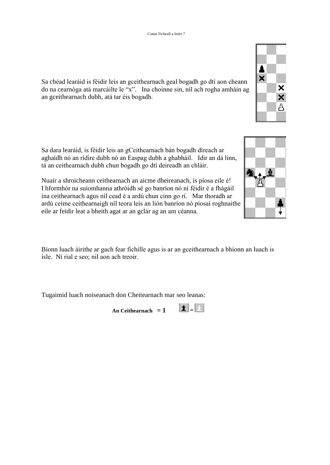

Sa chéad learáid is féidir leis an gceithearnach geal bogadh go dtí aon cheann Sa chéad learáid is féidir leis an gceithearnach geal bogadh go dtí aon cheann<br>do na cearnóga atá marcáilte le "x". Ina choinne sin, níl ach rogha amháin ag Sa chéad learáid is féidir leis an gceithearnach<br>do na cearnóga atá marcáilte le "x". Ina choir<br>an gceithearnach dubh, atá tar éis bogadh.

Sa dara learáid, is féidir leis an gCeithearnach bán bogadh díreach ar Sa dara learáid, is féidir leis an gCeithearnach bán bogadh díreach ar<br>aghaidh nó an rídire dubh nó an Easpag dubh a ghabháil. Idir an dá linn, Sa dara learáid, is féidir leis an gCeithearnach bán bogadh díreach a<br>aghaidh nó an rídire dubh nó an Easpag dubh a ghabháil. Idir an d<br>tá an ceithearnach dubh chun bogadh go dtí deireadh an chláir. tá an ceithearnach dubh chun bogadh go dtí deireadh an chláir.<br>Nuair a shroicheann ceithearnach an aicme dheireanach, is píosa eile é!

Nuair a shroicheann ceithearnach an aicme dheireanach, is píosa eile é!<br>I hformhór na suíomhanna athróidh sé go banríon nó ní féidir é a fhágáil Nuair a shroicheann ceithearnach an aicme dheireanach, is píosa eile é!<br>I hformhór na suíomhanna athróidh sé go banríon nó ní féidir é a fhágáil<br>ina ceithearnach agus níl cead é a ardú chun cinn go rí. Mar thoradh ar I hformhór na suíomhanna athróidh sé go banríon nó ní féidir é a fhágáil<br>ina ceithearnach agus níl cead é a ardú chun cinn go rí. Mar thoradh ar<br>ardú ceime ceithearnaigh níl teora leis an lión banríon nó píosaí roghnaithe ina ceithearnach agus níl cead é a ardú chun cinn go rí. Mar thoradh ar ardú ceime ceithearnaigh níl teora leis an lión banríon nó píosaí roghnaithe eile ar feidir leat a bheith agat ar an gclár ag an am céanna.

Bíonn luach áirithe ar gach fear fichille agus is ar an gceithearnach a bhíonn an luach is n luach áirithe ar gach fear fichille a<br>Ní rial e seo; nil aon ach treoir.

Tugaimid luach noiseanach don Cheitearnach mar seo leanas:

An Ceithearnach =  $1$   $\boxed{\pm}$  =  $\boxed{\pm}$ 

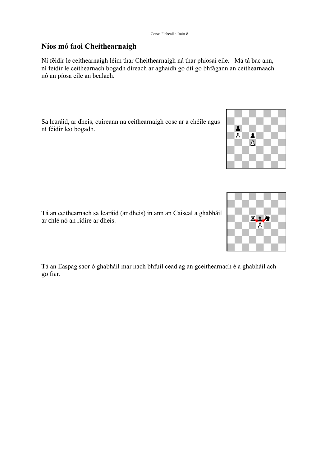#### **<sup>N</sup>Ìos mÛ faoi Cheithearnaigh**

Ní féidir le ceithearnaigh léim thar Cheithearnaigh ná thar phíosaí eile. Má tá bac ann, n 1998 an 1999 an t-oireann an Daoineachd anns an t-oire anns an t-oire anns.<br>Ní féidir le ceithearnaigh léim thar Cheithearnaigh ná thar phíosaí eile. Má tá bac ann,<br>ní féidir le ceithearnach bogadh díreach ar aghaidh go Ní féidir le ceithearnaigh léim th<br>ní féidir le ceithearnach bogadh<br>nó an píosa eile an bealach.

Sa learáid, ar dheis, cuireann na ceithearnaigh cosc ar a chéile agus Sa learáid, ar dheis, cuire<br>ní féidir leo bogadh.

Tá an ceithearnach sa learáid (ar dheis) in ann an Caiseal a ghabháil Tá an ceithearnach sa learáid (ar<br>ar chlé nó an ridire ar dheis.

Tá an Easpag saor ó ghabháil mar nach bhfuil cead ag an gceithearnach é a ghabháil ach go fiar.



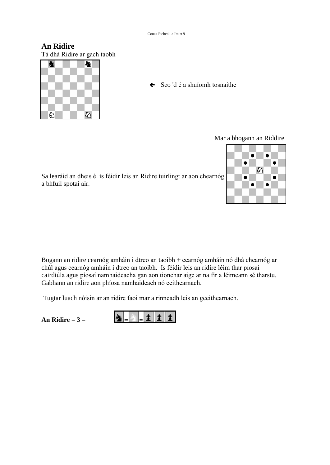**An Ridire** Tá dhá Ridire ar gach taobh



 $\leftarrow$  Seo 'd é a shuíomh tosnaithe

Mar a bhogann an Riddire

Sa learáid an dheis è is féidir leis an Ridire tuirlingt ar aon chearnóg sa learáid an dheis èi:<br>a bhfuil spotaí air.



Bogann an ridire cearnóg amháin i dtreo an taoibh + cearnóg amháin nó dhá chearnóg ar Bogann an ridire cearnóg amháin i dtreo an taoibh + cearnóg amháin nó dhá chearnóg a<br>chúl agus cearnóg amháin i dtreo an taoibh. Is féidir leis an ridire léim thar píosaí Bogann an ridire cearnóg amháin i dtreo an taoibh + cearnóg amháin nó dhá chearnóg ar chúl agus cearnóg amháin i dtreo an taoibh. Is féidir leis an ridire léim thar píosaí<br>cairdiúla agus píosaí namhaideacha gan aon tioncha chúl agus cearnóg amháin i dtreo an taoibh. Is féidir leis an ridire léim thar píosaí cairdiúla agus píosaí namhaideach agan aon tionchar aige ar na fir a léimeann sé tharstu.<br>Gabhann an ridire aon phíosa namhaideach nó ce

Tugtar luach nóisin ar an ridire faoi mar a rinneadh leis an gceithearnach.

An **Ridire**  $= 3 =$ 

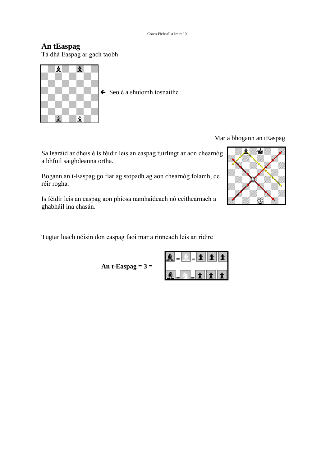#### **An tEaspag**

Tá dhá Easpag ar gach taobh



Mar a bhogann an tEaspag

Sa learáid ar dheis è is féidir leis an easpag tuirlingt ar aon chearnóg a bhfuil saighdeanna ortha. a bhfuil saighdeanna ortha.<br>Bogann an t-Easpag go fiar ag stopadh ag aon chearnóg folamh, de

Bogann an t-Ea<br>réir rogha. Is féidir leis an easpag aon phíosa namhaideach nó ceithearnach a

Is féidir leis an easpag ac<br>ghabháil ina chasán.

Tugtar luach nóisin don easpag faoi mar a rinneadh leis an ridire

**An t-Easpag = 3 =**

|   |  | $\oplus$ | $\bullet$ | -7 |
|---|--|----------|-----------|----|
| ш |  |          |           |    |

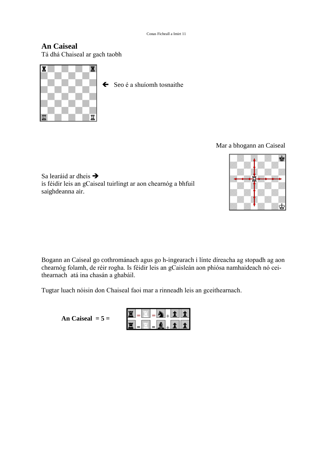#### **An Caiseal** Tá dhá Chaiseal ar gach taobh



Mar a bhogann an Caiseal



Sa learáid ar dheis  $\rightarrow$ is féidir leis an gCaiseal tuirlingt ar aon chearnóg a bhfuil saighdeanna air.

Bogann an Caiseal go cothrománach agus go h-ingearach i línte díreacha ag stopadh ag aon Bogann an Caiseal go cothrománach agus go h-ingearach i línte díreacha ag stopadh ag aon<br>chearnóg folamh, de réir rogha. Is féidir leis an gCaisleán aon phiósa namhaideach nó cei-Bogann an Caiseal go cothrománach ag<br>chearnóg folamh, de réir rogha. Is féidir<br>thearnach atá ina chasán a ghabáil. thearnach atá ina chasán a ghabáil.<br>Tugtar luach nóisin don Chaiseal faoi mar a rinneadh leis an gceithearnach.

**An Caiseal = 5 =**

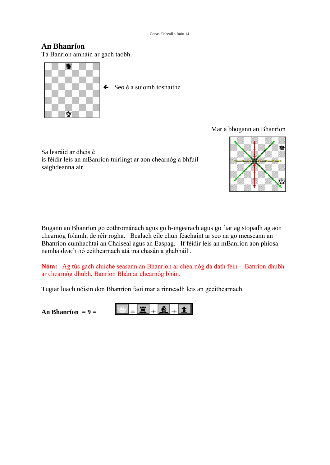#### **An BhanrÌon**

Tá Banríon amháin ar gach taobh.



#### Mar a bhogann an Bhanríon

Sa learáid ar dheis è is féidir leis an mBanríon tuirlingt ar aon chearnóg a bhfuil saighdeanna air.



Bogann an Bhanríon go cothrománach agus go h-ingearach agus go fiar ag stopadh ag aon chearnóg folamh, de réir rogha. Bealach eile chun féachaint ar seo na go meascann an Bogann an Bhanríon go cothrománach agus go h-ingearach agus go fiar ag stopadh ag aon<br>chearnóg folamh, de réir rogha. Bealach eile chun féachaint ar seo na go meascann an<br>Bhanríon cumhachtaí an Chaiseal agus an Easpag. If chearnóg folamh, de réir rogha. Bealach eile chun féachaint<br>Bhanríon cumhachtaí an Chaiseal agus an Easpag. If féidir l<br>namhaideach nó ceithearnach atá ina chasán a ghabháil .

**Nóta:** Ag tús gach cluiche seasann an Bhanríon ar chearnóg dá dath féin - Banríon dhubh<br>N**óta:** Ag tús gach cluiche seasann an Bhanríon ar chearnóg dá dath féin - Banríon dhubh **Nóta:** Ag tús gach cluiche seasann an Bhanríon ar chea<br>ar chearnóg dhubh, Banríon Bhán ar chearnóg bhán. ar chearnóg dhubh, Banríon Bhán ar chearnóg bhán.<br>Tugtar luach nóisin don Bhanríon faoi mar a rinneadh leis an gceithearnach.

 $An Bhanríon = 9 =$ 

宣  $\bigcirc$  $\bullet$  $\pm$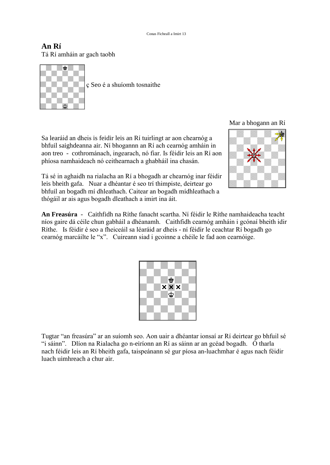#### **An <sup>R</sup><sup>Ì</sup>** Tá Rí amháin ar gach taobh



Sa learáid an dheis is feidir leis an Rí tuirlingt ar aon chearnóg a Sa learáid an dheis is feidir leis an Rí tuirlingt ar aon chearnóg ann an Rí ach cearnóg amháin in Sa learáid an dheis is feidir leis an Rí tuirlingt ar aon chearnóg a<br>bhfuil saighdeanna air. Ní bhogannn an Rí ach cearnóg amháin in<br>aon treo - cothrománach, ingearach, nó fiar. Is féidir leis an Rí aon bhfuil saighdeanna air. Ní bhogannn an Rí ach cearnóg amháin i<br>aon treo - cothrománach, ingearach, nó fiar. Is féidir leis an Rí<br>phíosa namhaideach nó ceithearnach a ghabháil ina chasán. phíosa namhaideach nó ceithearnach a ghabháil ina chasán.<br>Tá sé in aghaidh na rialacha an Rí a bhogadh ar chearnóg inar féidir

leis bheith na rialacha an Rí a bhogadh ar chearnóg inar féidir an dtá sé in aghaidh na rialacha an Rí a bhogadh ar chearnóg inar féidir aite sheith gafa. Nuar a dhéantar é seo trí thimpiste, deirtear go Tá sé in aghaidh na rialacha an Rí a bhogadh ar chearnóg inar féidir<br>leis bheith gafa. Nuar a dhéantar é seo trí thimpiste, deirtear go<br>bhfuil an bogadh mí dhleathach. Caitear an bogadh mídhleathach a teis bheith gafa. Nuar a dhéantar é seo trí thimpiste, deirtear go bhfuil an bogadh mí dhleathach. Caitear an bogadh mídhleathach a thógáil ar ais agus bogadh dleathach a imirt ina áit.

Mar <sup>a</sup> bhogann an <sup>R</sup><sup>Ì</sup>



**An Freas˙ra** - Caithfidh na <sup>R</sup>Ìthe fanacht scartha. NÌ fÈidir le RÌthe namhaideacha teacht níos gaire dá céile chun gabháil a dhéanamh. Caithfidh cearnóg amháin i gcónaí bheith idir An Freasúra - Caithfidh na Ríthe fanacht scartha. Ní féidir le Ríthe namhaideacha teacht<br>níos gaire dá céile chun gabháil a dhéanamh. Caithfidh cearnóg amháin i gcónaí bheith idir<br>Ríthe. Is féidir é seo a fheiceáil sa léar níos gaire dá céile chun gabháil a dhéanamh. Caithfidh cearnóg amháin i gcónaí bho Ríthe. Is féidir é seo a fheiceáil sa léaráid ar dheis - ní féidir le ceachtar Rí bogadh g<br>cearnóg marcáilte le "x". Cuireann siad i gcoinn



Tugtar "an freasúra" ar an suíomh seo. Aon uair a dhéantar ionsaí ar Rí deirtear go bhfuil sé "i sáinn". Dlíon na Rialacha go n-eiríonn an Rí as sáinn ar an gcéad bogadh. Ó tharla nach féidir leis an Rí bheith gafa, taispeánann sé gur píosa an-luachmhar é agus nach féidir luach uimhreach a chur air.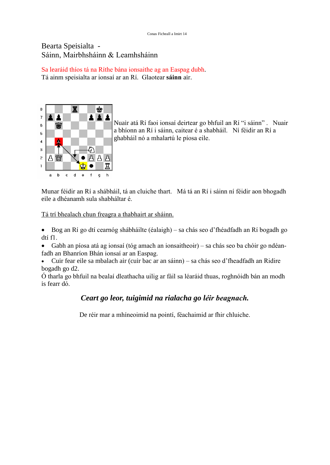## Bearta Speisialta -<br>Sáinn, Mairbhsháinn & Leamhsháinn

Sáinn, Mairbhsháinn & Leamhsháinn<br>Sa learáid thíos tá na Ríthe bána ionsaithe ag an Easpag dubh. Sa learáid thíos tá na Ríthe bána ionsaithe ag an Easpag dubh.<br>Tá ainm speisialta ar ionsaí ar an Rí. Glaotear **sáinn** air.



Nuair atá Rí faoi ionsaí deirtear go bhfuil an Rí "i sáinn" . Nuair Nuair atá Rí faoi ionsaí deirtear go bhfuil an Rí ''i sáinn'' . Nuair<br>a bhíonn an Rí i sáinn, caitear é a shabháil. Ní féidir an Rí a a bhíonn an Rí i sáinn, caitear é a shabháil. Ní féidir an Rí a ghabháil nó a mhalartú le píosa eile.

a b c d e f g h<br>Munar féidir an Rí a shábháil, tá an cluiche thart. Má tá an Rí i sáinn ní féidir aon bhogadh Munar féidir an Rí a shábháil, tá an clu<br>eile a dhéanamh sula shabháltar é.

eile a dhéanamh sula shabháltar é.<br>Tá trí bhealach chun freagra a thabhairt ar sháinn.

rí bhealach chun freagra a thabhairt ar sháinn.<br>Bog an Rí go dtí cearnóg shábháilte (éalaigh) – sa chás seo d'fhéadfadh an Rí bogadh go • Bog an<br>dtí f1. Bog an Rí go dtí cearnóg shábháilte (éalaigh) – sa chás seo d'fhéadfadh an Rí bogadh go<br>f1.<br>Gabh an píosa atá ag ionsaí (tóg amach an ionsaitheoir) – sa chás seo ba chóir go ndéan-

dtí f1.<br>• Gabh an píosa atá ag ionsaí (tóg amach an ionsaitheoir) – sa chás seo ba chóir go ndéan-<br>fadh an Bhanríon Bhán ionsaí ar an Easpag. Gabh an píosa atá ag ionsaí (tóg amach an ionsaitheoir) – sa chás seo ba chóir go ndéan-<br>1 an Bhanríon Bhán ionsaí ar an Easpag.<br>Cuir fear eile sa mbalach air (cuir bac ar an sáinn) – sa chás seo d'fheadfadh an Ridire

bogadh go d2.<br>bogadh go d2.<br>Ó tharla go bhfuil na bealaí dleathacha uilig ar fáil sa léaráid thuas, roghnóidh bán an modh

bogadh go d2.<br>Ó tharla go bhfuil na bealaí dleathacha uilig ar fáil sa léaráid thuas, roghnóidh bán an modh is fearr dó.

#### *Ceart go leor, tuigimid na rialacha go <sup>l</sup>Èir beagnach.*

De réir mar a mhíneoimid na pointí, féachaimid ar fhir chluiche.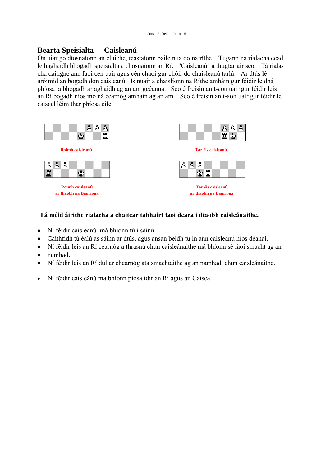#### **Bearta Speisialta - Caislean˙**

a**rta Speisialta - Caisleanú**<br>uiar go dtosnaíonn an cluiche, teastaíonn baile nua do na ríthe. Tugann na rialacha cead **Bearta Speisialta - Caisleanú**<br>Ón uiar go dtosnaíonn an cluiche, teastaíonn baile nua do na ríthe. Tugann na rialacha cead<br>le haghaidh bhogadh speisialta a chosnaíonn an Rí. "Caisleanú" a thugtar air seo. Tá riala-Ón uiar go dtosnaíonn an cluiche, teastaíonn baile nua do na ríthe. Tugann na rialacha cead<br>le haghaidh bhogadh speisialta a chosnaíonn an Rí. "Caisleanú" a thugtar air seo. Tá riala-<br>cha daingne ann faoi cén uair agus cén le haghaidh bhogadh speisialta a chosnaíonn an Rí. "Caisleanú" a thugtar air seo. Tá riala-<br>cha daingne ann faoi cén uair agus cén chaoi gur chóir do chaisleanú tarlú. Ar dtús lé-<br>aróimid an bogadh don caisleanú. Is nuair cha daingne ann faoi cén uair agus cén chaoi gur chóir do chaisleanú tarlú. Ar dtús lé-<br>aróimid an bogadh don caisleanú. Is nuair a chaislíonn na Ríthe amháin gur féidir le dhá<br>phíosa a bhogadh ar aghaidh ag an am gcéanna. an Rí bogadh níos mó ná cearnóg amháin ag an am. Seo é freisin an t-aon uair gur féidir le phíosa a bhogadh ar aghaidh ag an Rí bogadh níos mó ná cearnóg<br>caiseal léim thar phíosa eile.



## **<sup>T</sup>· mÈid ·irithe rialacha <sup>a</sup> chaitear tabhairt faoi deara <sup>i</sup> dtaobh caisle·naithe.** Tá méid áirithe rialacha a chaitear tabhairt fa<br>■<br>Ní féidir caisleanú má bhíonn tú i sáinn.

- 
- Ní féidir caisleanú má bhíonn tú i sáinn.<br>• Caithfidh tú éalú as sáinn ar dtús, agus ansan beidh tu in ann caisleanú níos déanaí.  $\bullet$
- Ní féidir caisleanú má bhíonn tú i sáinn.<br>Caithfidh tú éalú as sáinn ar dtús, agus ansan beidh tu in ann caisleanú níos déanaí.<br>Ní féidir leis an Rí cearnóg a thrasnú chun caisleánaithe má bhíonn sé faoi smacht ag an • Ní féidir leis an Rí cearnóg a thrasnú chun caisleánaithe má bhíonn sé faoi smacht ag an namhad.
- 
- Ní féidir leis an Rí dul ar chearnóg ata smachtaithe ag an namhad, chun caisleánaithe.
- Ní féidir caisleánú ma bhíonn píosa idir an Rí agus an Caiseal.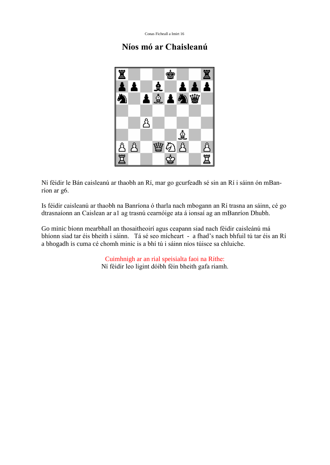#### **<sup>N</sup>Ìos mÛ ar Chaislean˙**



Ní féidir le Bán caisleanú ar thaobh an Rí, mar go gcurfeadh sé sin an Rí i sáinn ón mBan-Ní féidir le Bár<br>ríon ar g6. Is féidir caisleanú ar thaobh na Banríona ó tharla nach mbogann an Rí trasna an sáinn, cé go

Is féidir caisleanú ar thaobh na Banríona ó tharla nach mbogann an Rí trasna an sáinn, cé g<br>dtrasnaíonn an Caislean ar a1 ag trasnú cearnóige ata á ionsaí ag an mBanríon Dhubh. dtrasnaíonn an Caislean ar a1 ag trasnú cearnóige ata á ionsaí ag an mBanríon Dhubh.<br>Go minic bíonn mearbhall an thosaitheoirí agus ceapann siad nach féidir caisleánú má

bhíonn siad tar éis bheith i sáinn. Tá sé seo mícheart - a fhad's nach bhfuil tú tar éis an Rí Go minic bíonn mearbhall an thosaitheoirí agus ceapann siad nach féidir caisleánú má a bhogadh is cuma cé chomh minic is a bhí tú i sáinn níos túisce sa chluiche.<br>Cuimhnigh ar an rial speisialta faoi na Ríthe:

Ní féidir leo ligint dóibh féin bheith gafa riamh.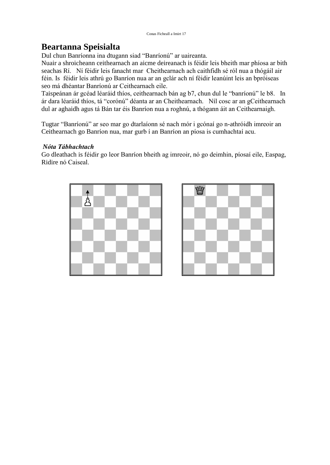#### **Beartanna Speisialta**

Dul chun Banríonna ina dtugann siad "Banríonú" ar uaireanta.

**Beartanna Speisialta**<br>Dul chun Banríonna ina dtugann siad ''Banríonú'' ar uaireanta.<br>Nuair a shroicheann ceithearnach an aicme deireanach is féidir leis bheith mar phíosa ar bith Dul chun Banríonna ina dtugann siad "Banríonú" ar uaireanta.<br>Nuair a shroicheann ceithearnach an aicme deireanach is féidir leis bheith mar phíosa ar bith<br>seachas Rí. Ní féidir leis fanacht mar Cheithearnach ach caithfidh Nuair a shroicheann ceithearnach an aicme deireanach is féidir leis bheith mar phíosa ar bith<br>seachas Rí. Ní féidir leis fanacht mar Cheithearnach ach caithfidh sé ról nua a thógáil air<br>féin. Is féidir leis athrú go Banrío seachas Rí. Ní féidir leis fanacht mar Cheithearnach<br>féin. Is féidir leis athrú go Banríon nua ar an gclár a<br>seo má dhéantar Banríonú ar Ceithearnach eile. féin. Is féidir leis athrú go Banríon nua ar an gclár ach ní féidir leanúint leis an bpróiseas<br>seo má dhéantar Banríonú ar Ceithearnach eile.<br>Taispeánan ár gcéad léaráid thíos, ceithearnach bán ag b7, chun dul le "banríonú seo má dhéantar Banríonú ar Ceithearnach eile.

o má dhéantar Banríonú ar Ceithearnach eile.<br>ispeánan ár gcéad léaráid thíos, ceithearnach bán ag b7, chun dul le ''banríonú'' le b8. In<br>dara léaráid thíos, tá ''corónú'' déanta ar an Cheithearnach. Níl cosc ar an gCeithea Taispeánan ár gcéad léaráid thíos, ceithearnach bán ag b7, chun dul le "banríonú" le b8. In ár dara léaráid thíos, tá "corónú" déanta ar an Cheithearnach. Níl cosc ar an gCeithearnach dul ar aghaidh agus tá Bán tar éis Ban dul ar aghaidh agus tá Bán tar éis Banríon nua a roghnú, a thógann áit an Ceithearnaigh.<br>Tugtar ''Banríonú'' ar seo mar go dtarlaíonn sé nach mór i gcónaí go n-athróidh imreoir an

Tugtar "Banríonú" ar seo mar go dtarlaíonn sé nach mór i gcónaí go n-athróidh imreo<br>Ceithearnach go Banríon nua, mar gurb í an Banríon an píosa is cumhachtaí acu. Ceithearnach go Banríon nua, mar gurb í an Banríon an píosa is cumhachtaí acu.<br>Nóta Tábhachtach

Nóta Tábhachtach<br>Go dleathach is féidir go leor Banríon bheith ag imreoir, nó go deimhin, píosaí eile, Easpag, *Nóta Tábhachtach*<br>Go dleathach is féidir <sub>{</sub><br>Ridire nó Caiseal.



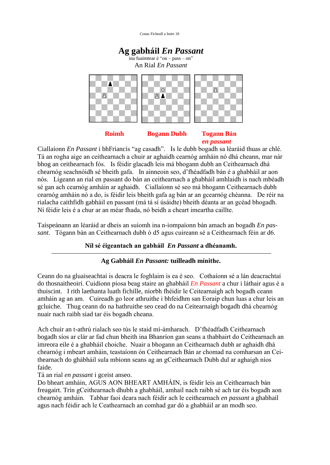

**Roimh Bogann Dubh Togann Bán**<br> *en passant*<br>
Ciallaíonn *En Passant* i bhFriancís "ag casadh". Is le dubh bogadh sa léaráid thuas ar chlé. **Each air an Ciallaíonn** En Passant i bhFriancís "ag casadh". Is le dubh bogadh sa léaráid thuas ar chlé.<br>Tá an rogha aige an ceithearnach a chuir ar aghaidh cearnóg amháin nó dhá cheann, mar nár Ciallaíonn *En Passant* i bhFriancís "ag casadh". Is le dubh bogadh sa léaráid thuas ar chlé.<br>Tá an rogha aige an ceithearnach a chuir ar aghaidh cearnóg amháin nó dhá cheann, mar nár<br>bhog an ceithearnach fós. Is féidir gl Tá an rogha aige an ceithearnach a chuir ar aghaidh cearnóg amháin nó dhá cheann, mar nár bhog an ceithearnach fós. Is féidir glacadh leis má bhogann dubh an Ceithearnach dhá chearnóg seachnóidh sé bheith gafa. In ainneoin bhog an ceithearnach fós. Is féidir glacadh leis má bhogann dubh an Ceithearnach dhá<br>chearnóg seachnóidh sé bheith gafa. In ainneoin seo, d'fhéadfadh bán é a ghabháil ar aon<br>nós. Ligeann an rial en passant do bán an ceithe chearnóg seachnóidh sé bheith gafa. In ainneoin seo, d'fhéadfadh bán é a ghabháil ar aon<br>nós. Ligeann an rial en passant do bán an ceithearnach a ghabháil amhlaidh is nach mbéadh<br>sé gan ach cearnóg amháin ar aghaidh. Ciall nós. Ligeann an rial en passant do bán an ceithearnach a ghabháil amhlaidh is nach mbéadh<br>sé gan ach cearnóg amháin ar aghaidh. Ciallaíonn sé seo má bhogann Ceithearnach dubh<br>cearnóg amháin nó a do, is féidir leis bheith g sé gan ach cearnóg amháin ar aghaidh. Ciallaíonn sé seo má bhogann Ceithearnach dubh<br>cearnóg amháin nó a do, is féidir leis bheith gafa ag bán ar an gcearnóg chéanna. De réir na<br>rialacha caithfidh gabháil en passant (má tá cearnóg amháin nó a do, is féidir leis bheith gafa ag bán ar an gcearnóg chéann<br>rialacha caithfidh gabháil en passant (má tá sí úsáidte) bheith déanta ar an gcéa<br>Ní féidir leis é a chur ar an méar fhada, nó beidh a cheart Ní féidir leis é a chur ar an méar fhada, nó beidh a cheart imeartha caillte.<br>Taispeánann an léaráid ar dheis an suíomh ina n-iompaíonn bán amach an bogadh *En pas*-

Taispeánann an léaráid ar dheis an suíomh ina n-iompaíonn bán amach an bogadh *En pas-*<br>*sant*. Tógann bán an Ceithearnach dubh ó d5 agus cuireann sé a Ceithearnach féin ar d6. sant. Tógann bán an Ceithearnach dubh ó d5 agus cuireann sé a Ceithearnach féin ar d6.<br>Níl sé éigeantach an gabháil En Passant a dhéanamh.

#### **Ag Gabh·il** *En Passant:* **tuilleadh <sup>m</sup>Ìnithe.**

Ceann do na gluaiseachtaí is deacra le foghlaim is ea é seo. Cothaíonn sé a lán deacrachtaí do thosnaitheoirí. Cuidíonn píosa beag staire an ghabháil *En Passant* a chur i láthair agus é a Ceann do na gluaiseachtaí is deacra le foghlaim is ea é seo. Cothaíonn sé a lán deacrachtaí<br>do thosnaitheoirí. Cuidíonn píosa beag staire an ghabháil En Passant a chur i láthair agus é a<br>thuiscint. I rith laethanta luath f do thosnaitheoirí. Cuidíonn píosa beag staire an ghabháil *En Passant* a chur i láthair agus é a thuiscint. I rith laethanta luath fichille, níorbh fhéidir le Ceitearnaigh ach bogadh ceann<br>amháin ag an am. Cuireadh go leor thuiscint. I rith laethanta luath fichille, níorbh fhéidir le Ceitearnaigh ach bogadh ceann<br>amháin ag an am. Cuireadh go leor athruithe i bhfeidhm san Eoraip chun luas a chur leis an<br>gcluiche. Thug ceann do na hathruithe s amháin ag an am. Cuireadh go leor athruithe i bhfeidhm san Eoraip chun luas a chur leis an gcluiche. Thug ceann do na hathruithe seo cead do na Ceitearnaigh bogadh dhá chearnóg nuair nach raibh siad tar éis bogadh cheana.

Ach chuir an t-athrú rialach seo tús le staid mí-ámharach. D'fhéadfadh Ceithearnach Ach chuir an t-athrú rialach seo tús le staid mí-ámharach. D'fhéadfadh Ceithearnach<br>bogadh síos ar clár ar fad chun bheith ina Bhanríon gan seans a thabhairt do Ceithearnach an Ach chuir an t-athrú rialach seo tús le staid mí-ámharach. D'fhéadfadh Ceithearnach<br>bogadh síos ar clár ar fad chun bheith ina Bhanríon gan seans a thabhairt do Ceithearnach an<br>imreora eile é a ghabháil choiche. Nuair a bh bogadh síos ar clár ar fad chun bheith ina Bhanríon gan seans a thabhairt do Ceithearnach an imreora eile é a ghabháil choiche. Nuair a bhogann an Ceithearnach dubh ar aghaidh dhá<br>chearnóg i mbeart amháin, teastaíonn ón C imreora eile é a ghabháil choiche. Nuair a bhogann an Ceithearnach dubh ar aghaidh dhá<br>chearnóg i mbeart amháin, teastaíonn ón Ceithearnach Bán ar chomad na comharsan an Cei-<br>thearnach do ghábháil sula mbíonn seans ag an g faide. thearnach do ghábháil sula mbíonn seans ag an gCeithearnach Dubh dul ar aghaigh níos faide.<br>Tá an rial *en passant* i gceist anseo.

Do bheart amháin, AGUS AON BHEART AMHÁIN, is féidir leis an Ceithearnach bán Tá an rial *en passant* i gceist anseo.<br>Do bheart amháin, AGUS AON BHEART AMHÁIN, is féidir leis an Ceithearnach bán<br>freagairt. Trín gCeithearnach dhubh a ghabháil, amhail nach raibh sé ach tar éis bogadh aon Do bheart amháin, AGUS AON BHEART AMHÁIN, is féidir leis an Ceithearnach bán<br>freagairt. Trín gCeithearnach dhubh a ghabháil, amhail nach raibh sé ach tar éis bogadh aon<br>chearnóg amháin. Tabhar faoi deara nach féidir ach le freagairt. Trín gCeithearnach dhubh a ghabháil, amhail nach raibh sé ach tar éis bogadh<br>chearnóg amháin. Tabhar faoi deara nach féidir ach le ceithearnach *en passant* a ghabh<br>agus nach féidir ach le Ceathearnach an comhad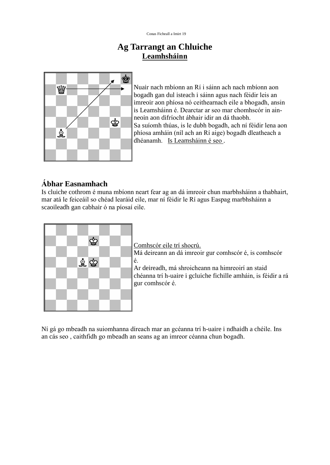### **Ag Tarrangt an Chluiche Leamhsháinn<br>Prangt an Chluiche<br><u>Leamhsháinn</u>**



Nuair nach mbíonn an Rí i sáinn ach nach mbíonn aon Nuair nach mbíonn an Rí i sáinn ach nach mbíonn aon<br>bogadh gan dul isteach i sáinn agus nach féidir leis an Nuair nach mbíonn an Rí i sáinn ach nach mbíonn aon<br>bogadh gan dul isteach i sáinn agus nach féidir leis an<br>imreoir aon phíosa nó ceithearnach eile a bhogadh, ansin bogadh gan dul isteach i sáinn agus nach féidir leis an<br>imreoir aon phíosa nó ceithearnach eile a bhogadh, ansin<br>is Leamsháinn é. Dearctar ar seo mar chomhscór in ainimreoir aon phíosa nó ceithearnach eile a bhogad<br>is Leamsháinn é. Dearctar ar seo mar chomhscór<br>neoin aon difríocht ábhair idir an dá thaobh. is Leamsháinn é. Dearctar ar seo mar chomhscór in ain-<br>neoin aon difríocht ábhair idir an dá thaobh.<br>Sa suíomh thúas, is le dubh bogadh, ach ní féidir lena aon neoin aon difríocht ábhair idir an dá thaobh.<br>Sa suíomh thúas, is le dubh bogadh, ach ní féidir lena aon<br>phíosa amháin (níl ach an Rí aige) bogadh dleatheach a Sa suíomh thúas, is le dubh bogadh, ach ni<br>phíosa amháin (níl ach an Rí aige) bogadh<br>dhéanamh. Is Leamsháinn é seo .

#### **bhar Easnamhach**

Ábhar Easnamhach<br>Is cluiche cothrom é muna mbíonn neart fear ag an dá imreoir chun marbhsháinn a thabhairt, Ábhar Easnamhach<br>Is cluiche cothrom é muna mbíonn neart fear ag an dá imreoir chun marbhsháinn a thabhairt,<br>mar atá le feiceáil so chéad learáid eile, mar ní féidir le Rí agus Easpag marbhsháinn a Is cluiche cothrom é muna mbíonn neart fea<br>mar atá le feiceáil so chéad learáid eile, mar<br>scaoileadh gan cabhair ó na píosaí eile.



Comhscór eile trí shocrú. Comhscór eile trí shocrú.<br>Má deireann an dá imreoir gur comhscór é, is comhscór Má deireann an dá imreoir gur comhscór é, is comhscór<br>é.<br>Ar deireadh, má shroicheann na himreoirí an staid

é.<br>Ar deireadh, má shroicheann na himreoirí an staid<br>chéanna trí h-uaire i gcluiche fichille amháin, is féidir a rá Ar deireadh, má shrc<br>chéanna trí h-uaire i<br>gur comhscór é.

Ní gá go mbeadh na suiomhanna díreach mar an gcéanna trí h-uaire i ndhaidh a chéile. Ins Ní gá go mbeadh na suiomhanna díreach mar an gcéanna trí h-uaire i ndhaidh a c<br>an cás seo , caithfidh go mbeadh an seans ag an imreor céanna chun bogadh.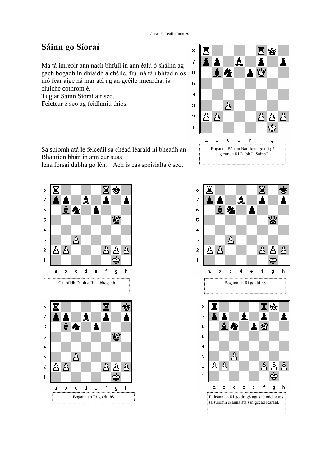#### **<sup>S</sup>·inn go SÌoraÌ**

8<br>Má tá imreoir ann nach bhfuil in ann éalú ó sháinn ag Má tá imreoir ann nach bhfuil in ann éalú ó sháinn ag<br>gach bogadh in dhiaidh a chéile, fiú má tá i bhfad níos  $\overrightarrow{6}$ Má tá imreoir ann nach bhfuil in ann éalú ó sháinn ag<br>gach bogadh in dhiaidh a chéile, fiú má tá i bhfad níos<br>mó fear aige ná mar atá ag an gcéile imeartha, is gach bogadh in dhiaidh a chéil<br>mó fear aige ná mar atá ag an g<br>cluiche cothrom é. mó fear aige ná mar atá ag an go<br>cluiche cothrom é.<br>Tugtar Sáinn Síoraí air seo. cluiche cothrom é.<br>Tugtar Sáinn Síoraí air seo.<br>Feictear é seo ag feidhmiú thíos.



Sa suíomh atá le feiceáil sa chéad léaráid ní bheadh an Sa suíomh atá le feiceáil sa chéad léa<br>Bhanríon bhán in ann cur suas Bhanríon bhán in ann cur suas<br>lena fórsaí dubha go léir. Ach is cás speisialta é seo.



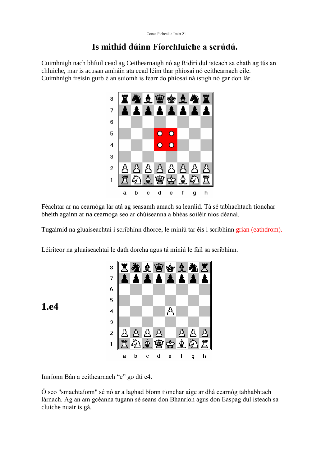#### **Is mithid <sup>d</sup>˙inn FÌorchluiche <sup>a</sup> scr˙d˙.**

Cuimhnigh nach bhfuil cead ag Ceithearnaigh nó ag Ridirí dul isteach sa chath ag tús an chluiche, mar is acusan amháin ata cead léim thar phíosaí nó ceithearnach eile. Cuimhnigh freisin gurb é an suíomh is fearr do phíosaí ná istigh nó gar don lár.



a b c d e f g h<br>Féachtar ar na cearnóga lár atá ag seasamh amach sa learáid. Tá sé tabhachtach tionchar bheith againn ar na cearnóga seo ar chúiseanna a bhéas soiléir níos déanaí.

Tugaimíd na gluaiseachtai i scribhínn dhorce, le miniú tar éis i scribhínn grian (eathdrom).

Léiriteor na gluaiseachtai le dath dorcha agus tá miniú le fáil sa scríbhinn.



**1.e4**

a b c d<br>Imríonn Bán a ceithearnach "e" go dtí e4.

 $\acute{o}$  seo "smachtaíonn" sé nó ar a laghad bíonn tionchar aige ar dhá cearnóg tabhabhtach Ó seo "smachtaíonn" sé nó ar a laghad bíonn tionchar aige ar dhá cearnóg tabhabhtach<br>lárnach. Ag an am gcéanna tugann sé seans don Bhanríon agus don Easpag dul isteach sa Ó seo "smachtaíonn" sé<br>lárnach. Ag an am gcéa<br>cluiche nuair is gá.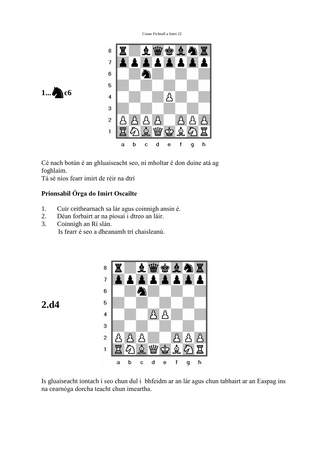



foghlaim. Cé nach botún é an ghluaiseacht seo, ní<br>foghlaim.<br>Tá sé níos fearr imirt de réir na dtrí

Tá sé níos fearr imirt de réir na dtrí<br>**Prionsabil Órga do Imirt Oscailte** 

- Prionsabil Órga do Imirt Oscailte<br>1. Cuir ceithearnach sa lár agus coinnigh ansin é. 2. Cuir ceithearnach sa lár agus coinnigh ansin<br>2. Déan forbairt ar na píosaí i dtreo an láir.
- 1. Cuir ceithearnach sa lár a<br>2. Déan forbairt ar na píosai<br>3. Coinnigh an Rí slán.
- Déan forbairt ar na píosaí i dtreo an láir.<br>Coinnigh an Rí slán.<br>Is fearr é seo a dheanamh trí chaisleanú.



**2.d4**

a b c a e i g n<br>Is gluaiseacht iontach í seo chun dul i bhfeidm ar an lár agus chun tabhairt ar an Easpag ins Is gluaiseacht iontach í seo chun dul i bhfeidn<br>na cearnóga dorcha teacht chun imeartha.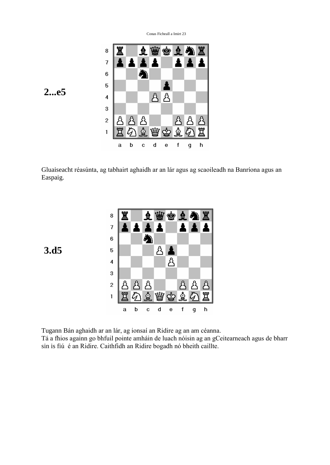

Gluaiseacht réasúnta, ag tabhairt aghaidh ar an lár agus ag scaoileadh na Banríona agus an Easpaig.

| 8                       |   |   | Ξ |   | \$ | $\mathbf{R}$ | À             | 罝      |
|-------------------------|---|---|---|---|----|--------------|---------------|--------|
| 7                       |   |   |   |   |    |              |               |        |
| 6                       |   |   |   |   |    |              |               |        |
| 5                       |   |   |   | ጿ |    |              |               |        |
| $\overline{\mathbf{4}}$ |   |   |   |   | ጿ  |              |               |        |
| 3                       |   |   |   |   |    |              |               |        |
| $\overline{c}$          | ጻ | Å | Å |   |    | රී           | ጸ             |        |
| 1                       |   |   | Ê |   |    | ু            | $\mathcal{L}$ | 。<br>曾 |
|                         | a | b | c | d | е  | f            | q             | h      |

Tugann Bán aghaidh ar an lár, ag ionsaí an Ridire ag an am céanna. Tugann Bán aghaidh ar an lár, ag ionsaí an Ridire ag an am céanna.<br>Tá a fhios againn go bhfuil pointe amháin de luach nóisin ag an gCeitearneach agus de bharr Tugann Bán aghaidh ar an lár, ag ionsaí an Ridire ag an am céanna.<br>Tá a fhios againn go bhfuil pointe amháin de luach nóisin ag an gCeitea<br>sin is fiú é an Ridire. Caithfidh an Ridire bogadh nó bheith caillte.

**3.d5**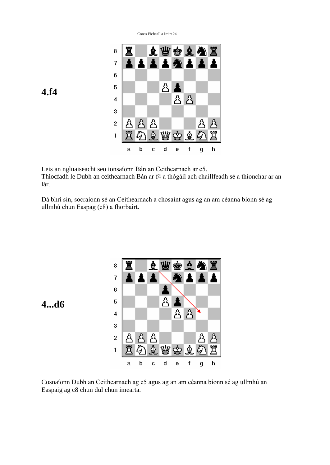

Leis an ngluaiseacht seo ionsaíonn Bán an Ceithearnach ar e5. Thiocfadh le Dubh an ceithearnach Bán ar f4 a thógáil ach chaillfeadh sé a thionchar ar an Leis an<br>Thiocfa<br>lár. lár.<br>Dá bhrí sin, socraíonn sé an Ceithearnach a chosaint agus ag an am céanna bíonn sé ag

Dá bhrí sin, socraíonn sé an Ceithearnach<br>ullmhú chun Easpag (c8) a fhorbairt.







**4.f4**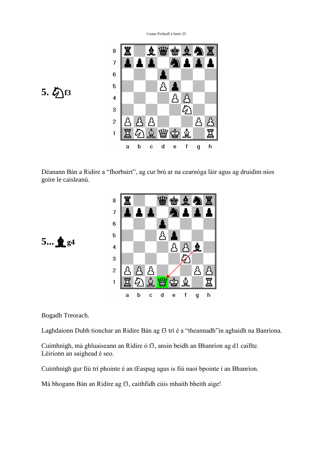

5. hest

Déanann Bán a Ridire a ''fhorbairt'', ag cur brú ar na cearnóga láir agus ag druidim níos Déanann Bán a Ridire<br>goire le caisleanú.

| 8              |   |                          |   |   | q  | $\mathbf{A}$ | À | Ï |
|----------------|---|--------------------------|---|---|----|--------------|---|---|
| $\overline{7}$ |   |                          |   |   | À  | 1            | 主 |   |
| $\overline{6}$ |   |                          |   |   |    |              |   |   |
| $\overline{5}$ |   |                          |   | ß |    |              |   |   |
| 4              |   |                          |   |   | රි |              | ė |   |
| 3              |   |                          |   |   |    |              |   |   |
| $\overline{c}$ | Å | Å                        | A |   |    |              |   |   |
| $\mathbf{1}$   | Ë | $\overline{\mathscr{L}}$ | ☝ |   |    | ∯            |   | ≏ |
|                | a | b                        | С | d | е  |              | g | h |



Bogadh Treorach.

Laghdaíonn Dubh tionchar an Ridire Bán ag f3 trí é a "theannadh" in aghaidh na Banríona. Laghdaíonn Dubh tionchar an Ridire Bán ag f3 trí é a "theannadh"in aghaidh na Banrí<br>Cuimhnigh, má ghluaiseann an Ridire ó f3, ansin beidh an Bhanríon ag d1 caillte.

Tainn an Sìorachas<br>Cuimhnigh, má ghluaiseann an I<br>Léirionn an saighead é seo. Léirionn an saighead é seo.<br>Cuimhnigh gur fiú trí phointe é an tEaspag agus is fiú naoi bpointe í an Bhanríon.

Cuimhnigh gur fiú trí phointe é an tEaspag agus is fiú naoi bpointe í an Bl<br>Má bhogann Bán an Ridire ag f3, caithfidh cúis mhaith bheith aige!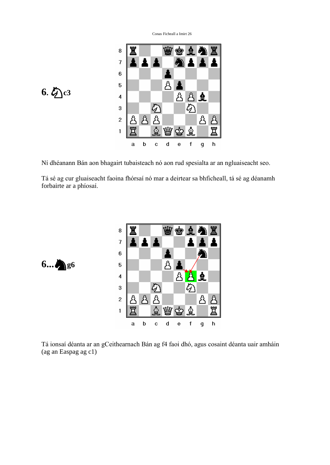



**6...**g6

Ní dhéanann Bán aon bhagairt tubaisteach nó aon rud spesialta ar an ngluaiseacht seo.<br>Tá sé ag cur gluaiseacht faoina fhórsaí nó mar a deirtear sa bhficheall, tá sé ag déanamh Tá sé ag cur gluaiseacht fa<br>forbairte ar a phíosaí.



a b c d e f g h<br>Tá ionsaí déanta ar an gCeithearnach Bán ag f4 faoi dhó, agus cosaint déanta uair amháin (ag an Easpag ag c1)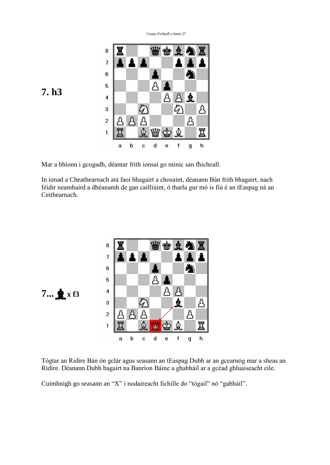

In ionad a Cheathearnach atá faoi bhagairt a chosaint, déanann Bán frith bhagairt, nach féidir neamhaird a dhéanamh de gan cailliúint, ó tharla gur mó is fiú é an tEaspag ná an Ceithearnach.



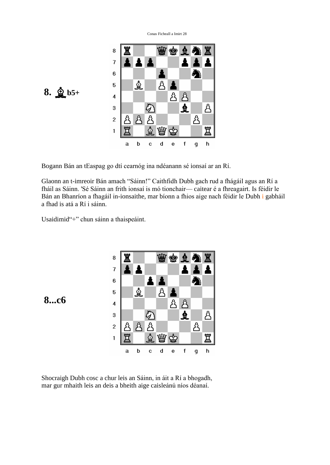

Glaonn an t-imreoir Bán amach "Sáinn!" Caithfidh Dubh gach rud a fhágáil agus an Rí a Filaonn an t-imreoir Bán amach "Sáinn!" Caithfidh Dubh gach rud a fhágáil agus an Rí a<br>fháil as Sáinn. 'Sé Sáinn an frith ionsaí is mó tionchair— caitear é a fhreagairt. Is féidir le Glaonn an t-imreoir Bán amach "Sáinn!" Caithfidh Dubh gach rud a fhágáil agus an Rí a<br>fháil as Sáinn. 'Sé Sáinn an frith ionsaí is mó tionchair— caitear é a fhreagairt. Is féidir le<br>Bán an Bhanríon a fhagáil in-ionsaithe, fháil as Sáinn. 'Sé Sáinn an fi<br>Bán an Bhanríon a fhagáil in<br>a fhad is atá a Rí i sáinn. a fhad is atá a Rí i sáinn.<br>Usaidimid"+" chun sáinn a thaispeáint.





Shocraigh Dubh cosc a chur leis an Sáinn, in áit a Rí a bhogadh, mar gur mhaith leis an deis a bheith aige caisleánú níos déanaí.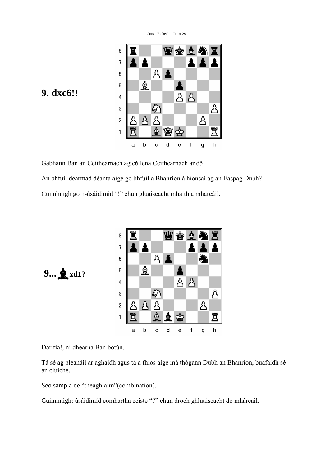

### **9. dxc6!!**

An bhfuil dearmad déanta aige go bhfuil a Bhanríon á hionsaí ag an Easpag Dubh?

Cuimhnigh go n-úsáidimid "!" chun gluaiseacht mhaith a mharcáil.



9... **p**xd1?

a<br>Dar fia!, ní dhearna Bán botún.

Tá sé ag pleanáil ar aghaidh agus tá a fhios aige má thógann Dubh an Bhanríon, buafaidh sé an cluiche.

Seo sampla de "theaghlaim" (combination).

Cuimhnigh: úsáidimíd comhartha ceiste "?" chun droch ghluaiseacht do mhárcail.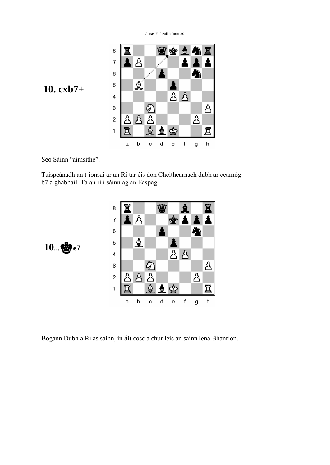

Seo Sáinn "aimsithe".

Seo Sáinn ''aimsithe''.<br>Taispeánadh an t-ionsaí ar an Rí tar éis don Cheithearnach dubh ar cearnóg Taispeánadh an t-ionsaí ar an Rí tar éis don Chei<br>b7 a ghabháil. Tá an rí i sáinn ag an Easpag.





Bogann Dubh a Rí as sainn, in áit cosc a chur leis an sainn lena Bhanríon.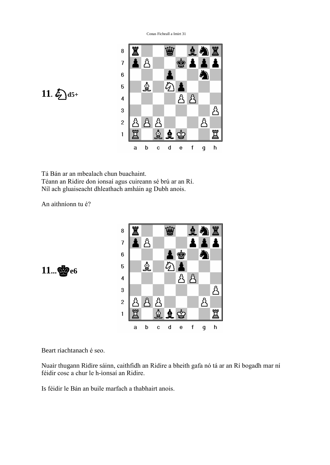



Tá Bán ar an mbealach chun buachaint. Téann an Ridire don ionsaí agus cuireann sé brú ar an Rí. Tá Bán ar an mbealach chun buachaint.<br>Téann an Ridire don ionsaí agus cuireann sé brú ar an Rí.<br>Níl ach gluaiseacht dhleathach amháin ag Dubh anois. Níl ach gluaiseacht dhleath<br>An aithníonn tu é?



 $11...$  $66$ 

Beart riachtanach é seo.

Beart riachtanach é seo.<br>Nuair thugann Ridire sáinn, caithfidh an Ridire a bheith gafa nó tá ar an Rí bogadh mar ní .<br>Nuair thugann Ridire sáinn, caithfidh an Ri<br>féidir cosc a chur le h-ionsaí an Ridire. Féidir cosc a chur le h-ionsaí an Ridire.<br>Is féidir le Bán an buile marfach a thabhairt anois.